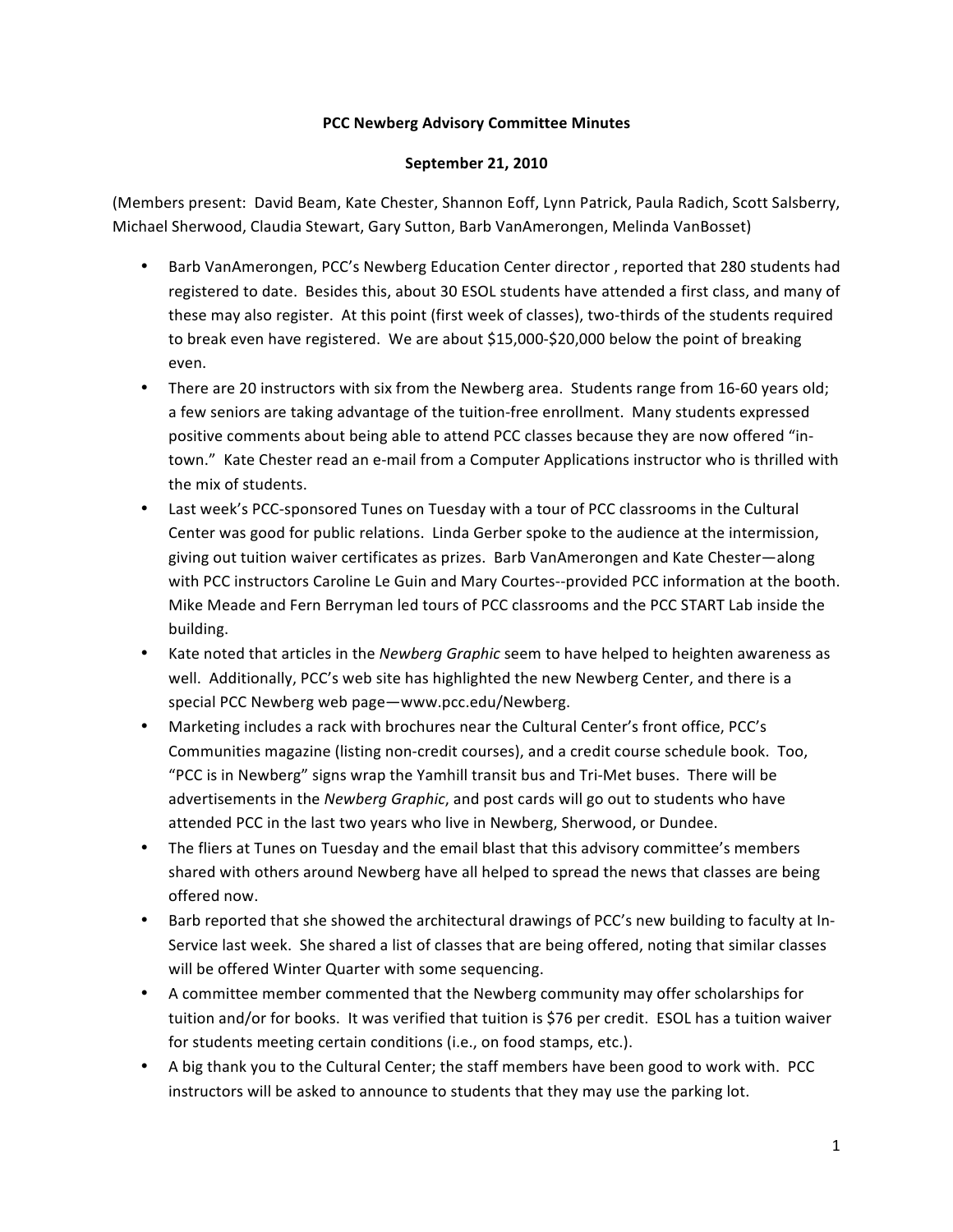## **PCC#Newberg#Advisory#Committee Minutes**

## **September 21, 2010**

(Members present: David Beam, Kate Chester, Shannon Eoff, Lynn Patrick, Paula Radich, Scott Salsberry, Michael Sherwood, Claudia Stewart, Gary Sutton, Barb VanAmerongen, Melinda VanBosset)

- Barb VanAmerongen, PCC's Newberg Education Center director, reported that 280 students had registered to date. Besides this, about 30 ESOL students have attended a first class, and many of these may also register. At this point (first week of classes), two-thirds of the students required to break even have registered. We are about \$15,000-\$20,000 below the point of breaking even.
- There are 20 instructors with six from the Newberg area. Students range from 16-60 years old; a few seniors are taking advantage of the tuition-free enrollment. Many students expressed positive comments about being able to attend PCC classes because they are now offered "intown." Kate Chester read an e-mail from a Computer Applications instructor who is thrilled with the mix of students.
- Last week's PCC-sponsored Tunes on Tuesday with a tour of PCC classrooms in the Cultural Center was good for public relations. Linda Gerber spoke to the audience at the intermission, giving out tuition waiver certificates as prizes. Barb VanAmerongen and Kate Chester—along with PCC instructors Caroline Le Guin and Mary Courtes--provided PCC information at the booth. Mike Meade and Fern Berryman led tours of PCC classrooms and the PCC START Lab inside the building.
- Kate noted that articles in the *Newberg Graphic* seem to have helped to heighten awareness as well. Additionally, PCC's web site has highlighted the new Newberg Center, and there is a special PCC Newberg web page—www.pcc.edu/Newberg.
- Marketing includes a rack with brochures near the Cultural Center's front office, PCC's Communities magazine (listing non-credit courses), and a credit course schedule book. Too, "PCC is in Newberg" signs wrap the Yamhill transit bus and Tri-Met buses. There will be advertisements in the *Newberg Graphic*, and post cards will go out to students who have attended PCC in the last two years who live in Newberg, Sherwood, or Dundee.
- The fliers at Tunes on Tuesday and the email blast that this advisory committee's members shared with others around Newberg have all helped to spread the news that classes are being offered now.
- Barb reported that she showed the architectural drawings of PCC's new building to faculty at In-Service last week. She shared a list of classes that are being offered, noting that similar classes will be offered Winter Quarter with some sequencing.
- A committee member commented that the Newberg community may offer scholarships for tuition and/or for books. It was verified that tuition is \$76 per credit. ESOL has a tuition waiver for students meeting certain conditions (i.e., on food stamps, etc.).
- A big thank you to the Cultural Center; the staff members have been good to work with. PCC instructors will be asked to announce to students that they may use the parking lot.